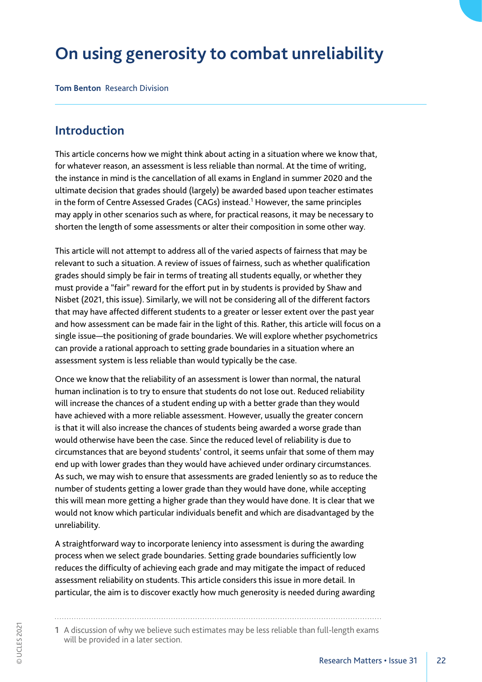# **On using generosity to combat unreliability**

**Tom Benton** Research Division

### **Introduction**

This article concerns how we might think about acting in a situation where we know that, for whatever reason, an assessment is less reliable than normal. At the time of writing, the instance in mind is the cancellation of all exams in England in summer 2020 and the ultimate decision that grades should (largely) be awarded based upon teacher estimates in the form of Centre Assessed Grades (CAGs) instead.<sup>1</sup> However, the same principles may apply in other scenarios such as where, for practical reasons, it may be necessary to shorten the length of some assessments or alter their composition in some other way.

This article will not attempt to address all of the varied aspects of fairness that may be relevant to such a situation. A review of issues of fairness, such as whether qualification grades should simply be fair in terms of treating all students equally, or whether they must provide a "fair" reward for the effort put in by students is provided by Shaw and Nisbet (2021, this issue). Similarly, we will not be considering all of the different factors that may have affected different students to a greater or lesser extent over the past year and how assessment can be made fair in the light of this. Rather, this article will focus on a single issue—the positioning of grade boundaries. We will explore whether psychometrics can provide a rational approach to setting grade boundaries in a situation where an assessment system is less reliable than would typically be the case.

Once we know that the reliability of an assessment is lower than normal, the natural human inclination is to try to ensure that students do not lose out. Reduced reliability will increase the chances of a student ending up with a better grade than they would have achieved with a more reliable assessment. However, usually the greater concern is that it will also increase the chances of students being awarded a worse grade than would otherwise have been the case. Since the reduced level of reliability is due to circumstances that are beyond students' control, it seems unfair that some of them may end up with lower grades than they would have achieved under ordinary circumstances. As such, we may wish to ensure that assessments are graded leniently so as to reduce the number of students getting a lower grade than they would have done, while accepting this will mean more getting a higher grade than they would have done. It is clear that we would not know which particular individuals benefit and which are disadvantaged by the unreliability.

A straightforward way to incorporate leniency into assessment is during the awarding process when we select grade boundaries. Setting grade boundaries sufficiently low reduces the difficulty of achieving each grade and may mitigate the impact of reduced assessment reliability on students. This article considers this issue in more detail. In particular, the aim is to discover exactly how much generosity is needed during awarding

<sup>1</sup> A discussion of why we believe such estimates may be less reliable than full-length exams will be provided in a later section.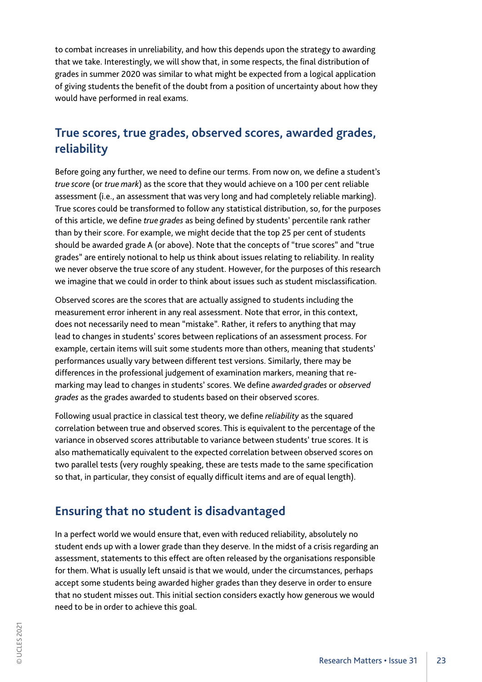to combat increases in unreliability, and how this depends upon the strategy to awarding that we take. Interestingly, we will show that, in some respects, the final distribution of grades in summer 2020 was similar to what might be expected from a logical application of giving students the benefit of the doubt from a position of uncertainty about how they would have performed in real exams.

# **True scores, true grades, observed scores, awarded grades, reliability**

Before going any further, we need to define our terms. From now on, we define a student's *true score* (or *true mark*) as the score that they would achieve on a 100 per cent reliable assessment (i.e., an assessment that was very long and had completely reliable marking). True scores could be transformed to follow any statistical distribution, so, for the purposes of this article, we define *true grades* as being defined by students' percentile rank rather than by their score. For example, we might decide that the top 25 per cent of students should be awarded grade A (or above). Note that the concepts of "true scores" and "true grades" are entirely notional to help us think about issues relating to reliability. In reality we never observe the true score of any student. However, for the purposes of this research we imagine that we could in order to think about issues such as student misclassification.

Observed scores are the scores that are actually assigned to students including the measurement error inherent in any real assessment. Note that error, in this context, does not necessarily need to mean "mistake". Rather, it refers to anything that may lead to changes in students' scores between replications of an assessment process. For example, certain items will suit some students more than others, meaning that students' performances usually vary between different test versions. Similarly, there may be differences in the professional judgement of examination markers, meaning that remarking may lead to changes in students' scores. We define *awarded grades* or *observed grades* as the grades awarded to students based on their observed scores.

Following usual practice in classical test theory, we define *reliability* as the squared correlation between true and observed scores. This is equivalent to the percentage of the variance in observed scores attributable to variance between students' true scores. It is also mathematically equivalent to the expected correlation between observed scores on two parallel tests (very roughly speaking, these are tests made to the same specification so that, in particular, they consist of equally difficult items and are of equal length).

## **Ensuring that no student is disadvantaged**

In a perfect world we would ensure that, even with reduced reliability, absolutely no student ends up with a lower grade than they deserve. In the midst of a crisis regarding an assessment, statements to this effect are often released by the organisations responsible for them. What is usually left unsaid is that we would, under the circumstances, perhaps accept some students being awarded higher grades than they deserve in order to ensure that no student misses out. This initial section considers exactly how generous we would need to be in order to achieve this goal.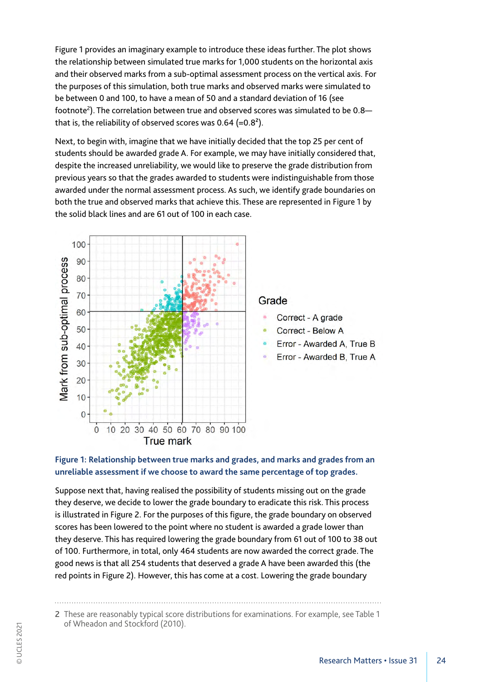Figure 1 provides an imaginary example to introduce these ideas further. The plot shows the relationship between simulated true marks for 1,000 students on the horizontal axis and their observed marks from a sub-optimal assessment process on the vertical axis. For the purposes of this simulation, both true marks and observed marks were simulated to be between 0 and 100, to have a mean of 50 and a standard deviation of 16 (see footnote<sup>2</sup>). The correlation between true and observed scores was simulated to be 0.8 that is, the reliability of observed scores was  $0.64$  (= $0.8<sup>2</sup>$ ).

Next, to begin with, imagine that we have initially decided that the top 25 per cent of students should be awarded grade A. For example, we may have initially considered that, despite the increased unreliability, we would like to preserve the grade distribution from previous years so that the grades awarded to students were indistinguishable from those awarded under the normal assessment process. As such, we identify grade boundaries on both the true and observed marks that achieve this. These are represented in Figure 1 by the solid black lines and are 61 out of 100 in each case.



### **Figure 1: Relationship between true marks and grades, and marks and grades from an unreliable assessment if we choose to award the same percentage of top grades.**

Suppose next that, having realised the possibility of students missing out on the grade they deserve, we decide to lower the grade boundary to eradicate this risk. This process is illustrated in Figure 2. For the purposes of this figure, the grade boundary on observed scores has been lowered to the point where no student is awarded a grade lower than they deserve. This has required lowering the grade boundary from 61 out of 100 to 38 out of 100. Furthermore, in total, only 464 students are now awarded the correct grade. The good news is that all 254 students that deserved a grade A have been awarded this (the red points in Figure 2). However, this has come at a cost. Lowering the grade boundary

<sup>2</sup> These are reasonably typical score distributions for examinations. For example, see Table 1 of Wheadon and Stockford (2010).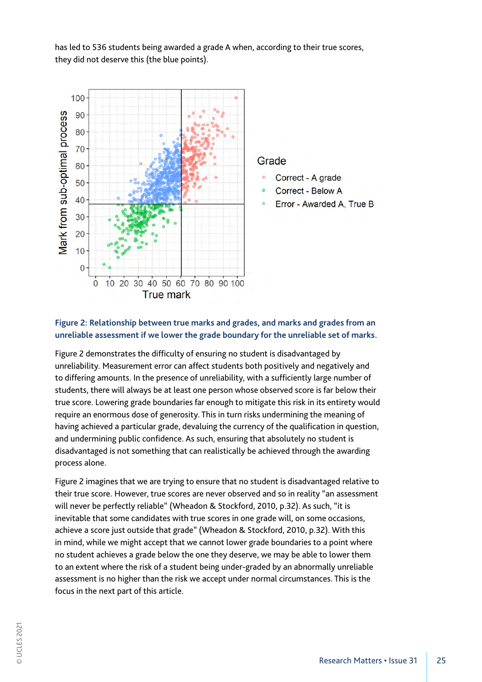has led to 536 students being awarded a grade A when, according to their true scores, they did not deserve this (the blue points).



#### **Figure 2: Relationship between true marks and grades, and marks and grades from an unreliable assessment if we lower the grade boundary for the unreliable set of marks.**

Figure 2 demonstrates the difficulty of ensuring no student is disadvantaged by unreliability. Measurement error can affect students both positively and negatively and to differing amounts. In the presence of unreliability, with a sufficiently large number of students, there will always be at least one person whose observed score is far below their true score. Lowering grade boundaries far enough to mitigate this risk in its entirety would require an enormous dose of generosity. This in turn risks undermining the meaning of having achieved a particular grade, devaluing the currency of the qualification in question, and undermining public confidence. As such, ensuring that absolutely no student is disadvantaged is not something that can realistically be achieved through the awarding process alone.

Figure 2 imagines that we are trying to ensure that no student is disadvantaged relative to their true score. However, true scores are never observed and so in reality "an assessment will never be perfectly reliable" (Wheadon & Stockford, 2010, p.32). As such, "it is inevitable that some candidates with true scores in one grade will, on some occasions, achieve a score just outside that grade" (Wheadon & Stockford, 2010, p.32). With this in mind, while we might accept that we cannot lower grade boundaries to a point where no student achieves a grade below the one they deserve, we may be able to lower them to an extent where the risk of a student being under-graded by an abnormally unreliable assessment is no higher than the risk we accept under normal circumstances. This is the focus in the next part of this article.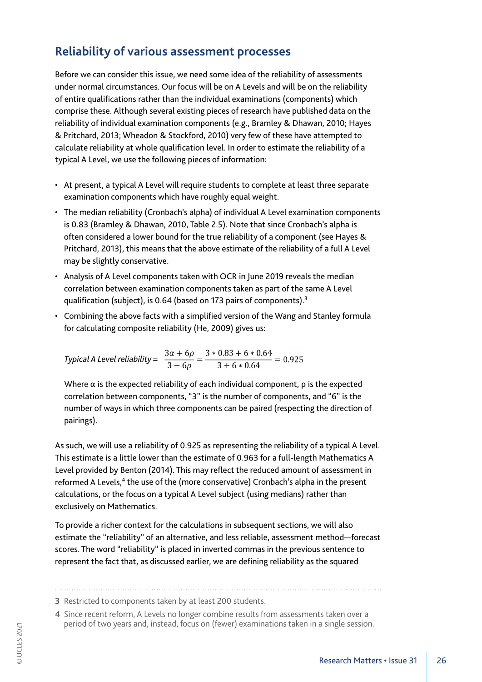# **Reliability of various assessment processes**

Before we can consider this issue, we need some idea of the reliability of assessments under normal circumstances. Our focus will be on A Levels and will be on the reliability of entire qualifications rather than the individual examinations (components) which comprise these. Although several existing pieces of research have published data on the reliability of individual examination components (e.g., Bramley & Dhawan, 2010; Hayes & Pritchard, 2013; Wheadon & Stockford, 2010) very few of these have attempted to calculate reliability at whole qualification level. In order to estimate the reliability of a typical A Level, we use the following pieces of information:

- At present, a typical A Level will require students to complete at least three separate examination components which have roughly equal weight.
- The median reliability (Cronbach's alpha) of individual A Level examination components is 0.83 (Bramley & Dhawan, 2010, Table 2.5). Note that since Cronbach's alpha is often considered a lower bound for the true reliability of a component (see Hayes & Pritchard, 2013), this means that the above estimate of the reliability of a full A Level may be slightly conservative.
- Analysis of A Level components taken with OCR in June 2019 reveals the median correlation between examination components taken as part of the same A Level qualification (subject), is 0.64 (based on 173 pairs of components).<sup>3</sup>
- Combining the above facts with a simplified version of the Wang and Stanley formula for calculating composite reliability (He, 2009) gives us:

*Typical A Level reliability* =  $\frac{3\alpha + 6\rho}{3 + 6\rho} = \frac{3 * 0.83 + 6 * 0.64}{3 + 6 * 0.64} = 0.925$ 

Where  $\alpha$  is the expected reliability of each individual component,  $\rho$  is the expected correlation between components, "3" is the number of components, and "6" is the number of ways in which three components can be paired (respecting the direction of pairings).

As such, we will use a reliability of 0.925 as representing the reliability of a typical A Level. This estimate is a little lower than the estimate of 0.963 for a full-length Mathematics A Level provided by Benton (2014). This may reflect the reduced amount of assessment in reformed A Levels,<sup>4</sup> the use of the (more conservative) Cronbach's alpha in the present calculations, or the focus on a typical A Level subject (using medians) rather than exclusively on Mathematics.

To provide a richer context for the calculations in subsequent sections, we will also estimate the "reliability" of an alternative, and less reliable, assessment method—forecast scores. The word "reliability" is placed in inverted commas in the previous sentence to represent the fact that, as discussed earlier, we are defining reliability as the squared

<sup>3</sup> Restricted to components taken by at least 200 students.

<sup>4</sup> Since recent reform, A Levels no longer combine results from assessments taken over a period of two years and, instead, focus on (fewer) examinations taken in a single session.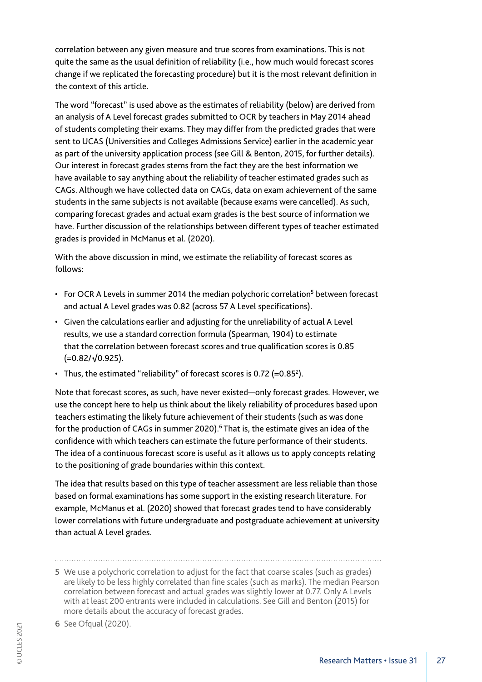correlation between any given measure and true scores from examinations. This is not quite the same as the usual definition of reliability (i.e., how much would forecast scores change if we replicated the forecasting procedure) but it is the most relevant definition in the context of this article.

The word "forecast" is used above as the estimates of reliability (below) are derived from an analysis of A Level forecast grades submitted to OCR by teachers in May 2014 ahead of students completing their exams. They may differ from the predicted grades that were sent to UCAS (Universities and Colleges Admissions Service) earlier in the academic year as part of the university application process (see Gill & Benton, 2015, for further details). Our interest in forecast grades stems from the fact they are the best information we have available to say anything about the reliability of teacher estimated grades such as CAGs. Although we have collected data on CAGs, data on exam achievement of the same students in the same subjects is not available (because exams were cancelled). As such, comparing forecast grades and actual exam grades is the best source of information we have. Further discussion of the relationships between different types of teacher estimated grades is provided in McManus et al. (2020).

With the above discussion in mind, we estimate the reliability of forecast scores as follows:

- For OCR A Levels in summer 2014 the median polychoric correlation<sup>5</sup> between forecast and actual A Level grades was 0.82 (across 57 A Level specifications).
- Given the calculations earlier and adjusting for the unreliability of actual A Level results, we use a standard correction formula (Spearman, 1904) to estimate that the correlation between forecast scores and true qualification scores is 0.85 (=0.82/√0.925).
- Thus, the estimated "reliability" of forecast scores is 0.72 (=0.85<sup>2</sup>).

Note that forecast scores, as such, have never existed—only forecast grades. However, we use the concept here to help us think about the likely reliability of procedures based upon teachers estimating the likely future achievement of their students (such as was done for the production of CAGs in summer 2020).<sup>6</sup> That is, the estimate gives an idea of the confidence with which teachers can estimate the future performance of their students. The idea of a continuous forecast score is useful as it allows us to apply concepts relating to the positioning of grade boundaries within this context.

The idea that results based on this type of teacher assessment are less reliable than those based on formal examinations has some support in the existing research literature. For example, McManus et al. (2020) showed that forecast grades tend to have considerably lower correlations with future undergraduate and postgraduate achievement at university than actual A Level grades.

<sup>5</sup> We use a polychoric correlation to adjust for the fact that coarse scales (such as grades) are likely to be less highly correlated than fine scales (such as marks). The median Pearson correlation between forecast and actual grades was slightly lower at 0.77. Only A Levels with at least 200 entrants were included in calculations. See Gill and Benton (2015) for more details about the accuracy of forecast grades.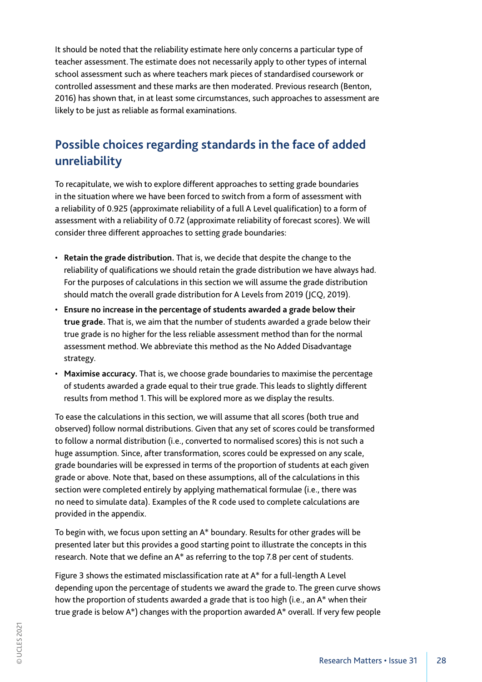It should be noted that the reliability estimate here only concerns a particular type of teacher assessment. The estimate does not necessarily apply to other types of internal school assessment such as where teachers mark pieces of standardised coursework or controlled assessment and these marks are then moderated. Previous research (Benton, 2016) has shown that, in at least some circumstances, such approaches to assessment are likely to be just as reliable as formal examinations.

# **Possible choices regarding standards in the face of added unreliability**

To recapitulate, we wish to explore different approaches to setting grade boundaries in the situation where we have been forced to switch from a form of assessment with a reliability of 0.925 (approximate reliability of a full A Level qualification) to a form of assessment with a reliability of 0.72 (approximate reliability of forecast scores). We will consider three different approaches to setting grade boundaries:

- **Retain the grade distribution.** That is, we decide that despite the change to the reliability of qualifications we should retain the grade distribution we have always had. For the purposes of calculations in this section we will assume the grade distribution should match the overall grade distribution for A Levels from 2019 (JCQ, 2019).
- **Ensure no increase in the percentage of students awarded a grade below their true grade.** That is, we aim that the number of students awarded a grade below their true grade is no higher for the less reliable assessment method than for the normal assessment method. We abbreviate this method as the No Added Disadvantage strategy.
- **Maximise accuracy.** That is, we choose grade boundaries to maximise the percentage of students awarded a grade equal to their true grade. This leads to slightly different results from method 1. This will be explored more as we display the results.

To ease the calculations in this section, we will assume that all scores (both true and observed) follow normal distributions. Given that any set of scores could be transformed to follow a normal distribution (i.e., converted to normalised scores) this is not such a huge assumption. Since, after transformation, scores could be expressed on any scale, grade boundaries will be expressed in terms of the proportion of students at each given grade or above. Note that, based on these assumptions, all of the calculations in this section were completed entirely by applying mathematical formulae (i.e., there was no need to simulate data). Examples of the R code used to complete calculations are provided in the appendix.

To begin with, we focus upon setting an A\* boundary. Results for other grades will be presented later but this provides a good starting point to illustrate the concepts in this research. Note that we define an A\* as referring to the top 7.8 per cent of students.

Figure 3 shows the estimated misclassification rate at A\* for a full-length A Level depending upon the percentage of students we award the grade to. The green curve shows how the proportion of students awarded a grade that is too high (i.e., an A\* when their true grade is below A\*) changes with the proportion awarded A\* overall. If very few people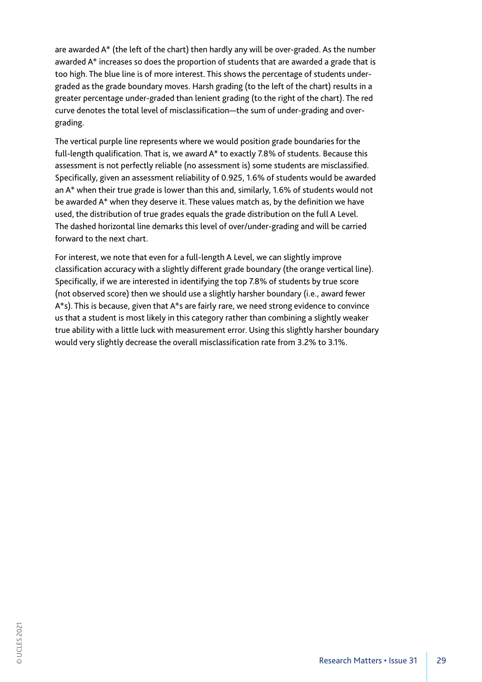are awarded A\* (the left of the chart) then hardly any will be over-graded. As the number awarded A\* increases so does the proportion of students that are awarded a grade that is too high. The blue line is of more interest. This shows the percentage of students undergraded as the grade boundary moves. Harsh grading (to the left of the chart) results in a greater percentage under-graded than lenient grading (to the right of the chart). The red curve denotes the total level of misclassification—the sum of under-grading and overgrading.

The vertical purple line represents where we would position grade boundaries for the full-length qualification. That is, we award A\* to exactly 7.8% of students. Because this assessment is not perfectly reliable (no assessment is) some students are misclassified. Specifically, given an assessment reliability of 0.925, 1.6% of students would be awarded an A\* when their true grade is lower than this and, similarly, 1.6% of students would not be awarded A\* when they deserve it. These values match as, by the definition we have used, the distribution of true grades equals the grade distribution on the full A Level. The dashed horizontal line demarks this level of over/under-grading and will be carried forward to the next chart.

For interest, we note that even for a full-length A Level, we can slightly improve classification accuracy with a slightly different grade boundary (the orange vertical line). Specifically, if we are interested in identifying the top 7.8% of students by true score (not observed score) then we should use a slightly harsher boundary (i.e., award fewer A\*s). This is because, given that A\*s are fairly rare, we need strong evidence to convince us that a student is most likely in this category rather than combining a slightly weaker true ability with a little luck with measurement error. Using this slightly harsher boundary would very slightly decrease the overall misclassification rate from 3.2% to 3.1%.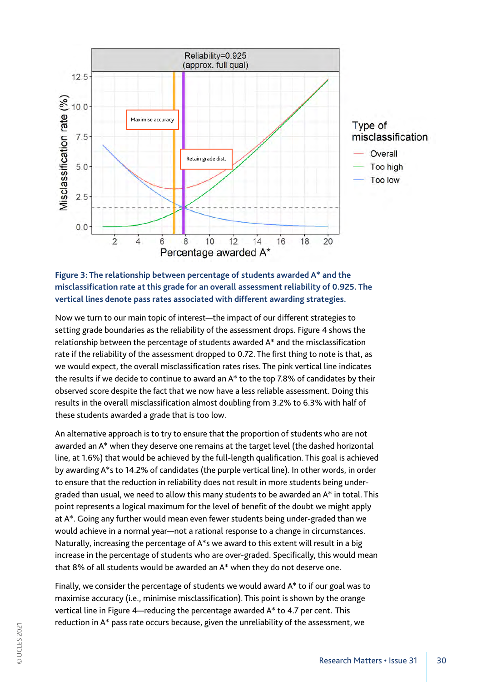



Now we turn to our main topic of interest—the impact of our different strategies to setting grade boundaries as the reliability of the assessment drops. Figure 4 shows the relationship between the percentage of students awarded A\* and the misclassification rate if the reliability of the assessment dropped to 0.72. The first thing to note is that, as we would expect, the overall misclassification rates rises. The pink vertical line indicates the results if we decide to continue to award an A\* to the top 7.8% of candidates by their observed score despite the fact that we now have a less reliable assessment. Doing this results in the overall misclassification almost doubling from 3.2% to 6.3% with half of these students awarded a grade that is too low.

An alternative approach is to try to ensure that the proportion of students who are not awarded an A\* when they deserve one remains at the target level (the dashed horizontal line, at 1.6%) that would be achieved by the full-length qualification. This goal is achieved by awarding A\*s to 14.2% of candidates (the purple vertical line). In other words, in order to ensure that the reduction in reliability does not result in more students being undergraded than usual, we need to allow this many students to be awarded an A\* in total. This point represents a logical maximum for the level of benefit of the doubt we might apply at A\*. Going any further would mean even fewer students being under-graded than we would achieve in a normal year—not a rational response to a change in circumstances. Naturally, increasing the percentage of A\*s we award to this extent will result in a big increase in the percentage of students who are over-graded. Specifically, this would mean that 8% of all students would be awarded an A\* when they do not deserve one.

Finally, we consider the percentage of students we would award A\* to if our goal was to maximise accuracy (i.e., minimise misclassification). This point is shown by the orange vertical line in Figure 4—reducing the percentage awarded A\* to 4.7 per cent. This reduction in A\* pass rate occurs because, given the unreliability of the assessment, we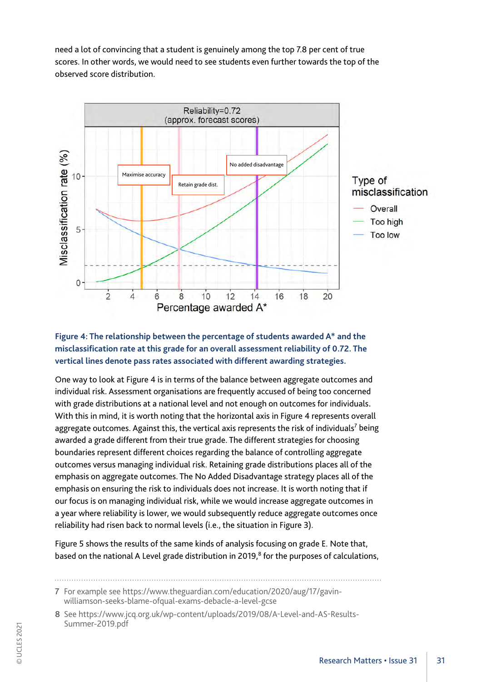need a lot of convincing that a student is genuinely among the top 7.8 per cent of true scores. In other words, we would need to see students even further towards the top of the observed score distribution.



### **Figure 4: The relationship between the percentage of students awarded A\* and the misclassification rate at this grade for an overall assessment reliability of 0.72. The vertical lines denote pass rates associated with different awarding strategies.**

One way to look at Figure 4 is in terms of the balance between aggregate outcomes and individual risk. Assessment organisations are frequently accused of being too concerned with grade distributions at a national level and not enough on outcomes for individuals. With this in mind, it is worth noting that the horizontal axis in Figure 4 represents overall aggregate outcomes. Against this, the vertical axis represents the risk of individuals<sup>7</sup> being awarded a grade different from their true grade. The different strategies for choosing boundaries represent different choices regarding the balance of controlling aggregate outcomes versus managing individual risk. Retaining grade distributions places all of the emphasis on aggregate outcomes. The No Added Disadvantage strategy places all of the emphasis on ensuring the risk to individuals does not increase. It is worth noting that if our focus is on managing individual risk, while we would increase aggregate outcomes in a year where reliability is lower, we would subsequently reduce aggregate outcomes once reliability had risen back to normal levels (i.e., the situation in Figure 3).

Figure 5 shows the results of the same kinds of analysis focusing on grade E. Note that, based on the national A Level grade distribution in 2019,<sup>8</sup> for the purposes of calculations,

<sup>7</sup> For example see https://www.theguardian.com/education/2020/aug/17/gavinwilliamson-seeks-blame-ofqual-exams-debacle-a-level-gcse

<sup>8</sup> See https://www.jcq.org.uk/wp-content/uploads/2019/08/A-Level-and-AS-Results-Summer-2019.pdf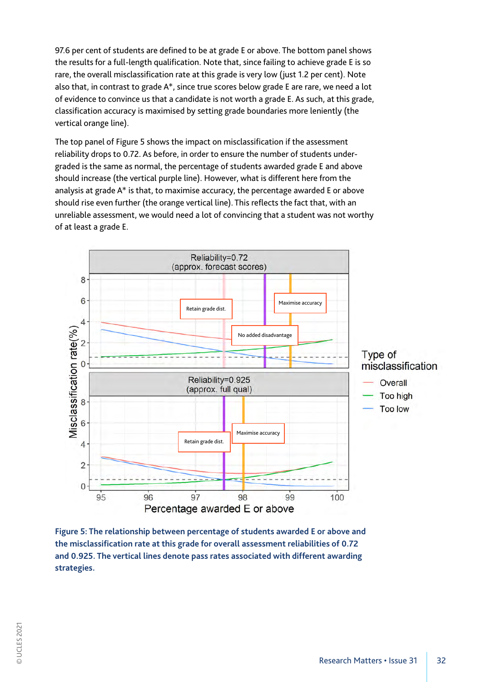97.6 per cent of students are defined to be at grade E or above. The bottom panel shows the results for a full-length qualification. Note that, since failing to achieve grade E is so rare, the overall misclassification rate at this grade is very low (just 1.2 per cent). Note also that, in contrast to grade A\*, since true scores below grade E are rare, we need a lot of evidence to convince us that a candidate is not worth a grade E. As such, at this grade, classification accuracy is maximised by setting grade boundaries more leniently (the vertical orange line).

The top panel of Figure 5 shows the impact on misclassification if the assessment reliability drops to 0.72. As before, in order to ensure the number of students undergraded is the same as normal, the percentage of students awarded grade E and above should increase (the vertical purple line). However, what is different here from the analysis at grade A\* is that, to maximise accuracy, the percentage awarded E or above should rise even further (the orange vertical line). This reflects the fact that, with an unreliable assessment, we would need a lot of convincing that a student was not worthy of at least a grade E.



**Figure 5: The relationship between percentage of students awarded E or above and the misclassification rate at this grade for overall assessment reliabilities of 0.72 and 0.925. The vertical lines denote pass rates associated with different awarding strategies.**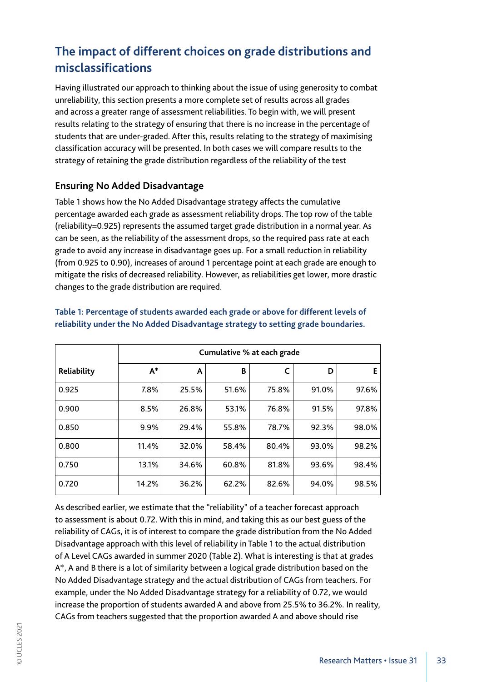# **The impact of different choices on grade distributions and misclassifications**

Having illustrated our approach to thinking about the issue of using generosity to combat unreliability, this section presents a more complete set of results across all grades and across a greater range of assessment reliabilities. To begin with, we will present results relating to the strategy of ensuring that there is no increase in the percentage of students that are under-graded. After this, results relating to the strategy of maximising classification accuracy will be presented. In both cases we will compare results to the strategy of retaining the grade distribution regardless of the reliability of the test

### **Ensuring No Added Disadvantage**

Table 1 shows how the No Added Disadvantage strategy affects the cumulative percentage awarded each grade as assessment reliability drops. The top row of the table (reliability=0.925) represents the assumed target grade distribution in a normal year. As can be seen, as the reliability of the assessment drops, so the required pass rate at each grade to avoid any increase in disadvantage goes up. For a small reduction in reliability (from 0.925 to 0.90), increases of around 1 percentage point at each grade are enough to mitigate the risks of decreased reliability. However, as reliabilities get lower, more drastic changes to the grade distribution are required.

|             | Cumulative % at each grade |       |       |       |       |       |
|-------------|----------------------------|-------|-------|-------|-------|-------|
| Reliability | $A^*$                      | A     | B     |       | D     | E.    |
| 0.925       | 7.8%                       | 25.5% | 51.6% | 75.8% | 91.0% | 97.6% |
| 0.900       | 8.5%                       | 26.8% | 53.1% | 76.8% | 91.5% | 97.8% |
| 0.850       | 9.9%                       | 29.4% | 55.8% | 78.7% | 92.3% | 98.0% |
| 0.800       | 11.4%                      | 32.0% | 58.4% | 80.4% | 93.0% | 98.2% |
| 0.750       | 13.1%                      | 34.6% | 60.8% | 81.8% | 93.6% | 98.4% |
| 0.720       | 14.2%                      | 36.2% | 62.2% | 82.6% | 94.0% | 98.5% |

### **Table 1: Percentage of students awarded each grade or above for different levels of reliability under the No Added Disadvantage strategy to setting grade boundaries.**

As described earlier, we estimate that the "reliability" of a teacher forecast approach to assessment is about 0.72. With this in mind, and taking this as our best guess of the reliability of CAGs, it is of interest to compare the grade distribution from the No Added Disadvantage approach with this level of reliability in Table 1 to the actual distribution of A Level CAGs awarded in summer 2020 (Table 2). What is interesting is that at grades A\*, A and B there is a lot of similarity between a logical grade distribution based on the No Added Disadvantage strategy and the actual distribution of CAGs from teachers. For example, under the No Added Disadvantage strategy for a reliability of 0.72, we would increase the proportion of students awarded A and above from 25.5% to 36.2%. In reality, CAGs from teachers suggested that the proportion awarded A and above should rise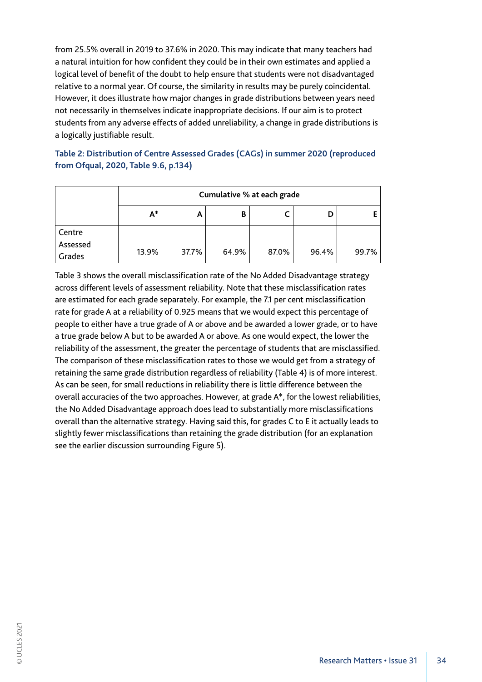from 25.5% overall in 2019 to 37.6% in 2020. This may indicate that many teachers had a natural intuition for how confident they could be in their own estimates and applied a logical level of benefit of the doubt to help ensure that students were not disadvantaged relative to a normal year. Of course, the similarity in results may be purely coincidental. However, it does illustrate how major changes in grade distributions between years need not necessarily in themselves indicate inappropriate decisions. If our aim is to protect students from any adverse effects of added unreliability, a change in grade distributions is a logically justifiable result.

### **Table 2: Distribution of Centre Assessed Grades (CAGs) in summer 2020 (reproduced from Ofqual, 2020, Table 9.6, p.134)**

|                    | Cumulative % at each grade |       |       |       |       |       |  |
|--------------------|----------------------------|-------|-------|-------|-------|-------|--|
|                    | $A^*$                      | A     |       |       |       |       |  |
| Centre             |                            |       |       |       |       |       |  |
| Assessed<br>Grades | 13.9%                      | 37.7% | 64.9% | 87.0% | 96.4% | 99.7% |  |

Table 3 shows the overall misclassification rate of the No Added Disadvantage strategy across different levels of assessment reliability. Note that these misclassification rates are estimated for each grade separately. For example, the 7.1 per cent misclassification rate for grade A at a reliability of 0.925 means that we would expect this percentage of people to either have a true grade of A or above and be awarded a lower grade, or to have a true grade below A but to be awarded A or above. As one would expect, the lower the reliability of the assessment, the greater the percentage of students that are misclassified. The comparison of these misclassification rates to those we would get from a strategy of retaining the same grade distribution regardless of reliability (Table 4) is of more interest. As can be seen, for small reductions in reliability there is little difference between the overall accuracies of the two approaches. However, at grade A\*, for the lowest reliabilities, the No Added Disadvantage approach does lead to substantially more misclassifications overall than the alternative strategy. Having said this, for grades C to E it actually leads to slightly fewer misclassifications than retaining the grade distribution (for an explanation see the earlier discussion surrounding Figure 5).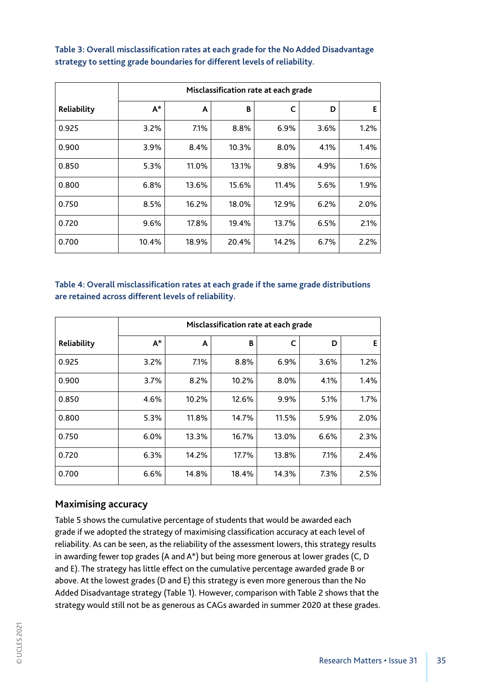|             | Misclassification rate at each grade |       |       |       |      |      |
|-------------|--------------------------------------|-------|-------|-------|------|------|
| Reliability | $A^*$                                | A     | B     | C     | D    | Е    |
| 0.925       | 3.2%                                 | 7.1%  | 8.8%  | 6.9%  | 3.6% | 1.2% |
| 0.900       | 3.9%                                 | 8.4%  | 10.3% | 8.0%  | 4.1% | 1.4% |
| 0.850       | 5.3%                                 | 11.0% | 13.1% | 9.8%  | 4.9% | 1.6% |
| 0.800       | 6.8%                                 | 13.6% | 15.6% | 11.4% | 5.6% | 1.9% |
| 0.750       | 8.5%                                 | 16.2% | 18.0% | 12.9% | 6.2% | 2.0% |
| 0.720       | 9.6%                                 | 17.8% | 19.4% | 13.7% | 6.5% | 2.1% |
| 0.700       | 10.4%                                | 18.9% | 20.4% | 14.2% | 6.7% | 2.2% |

**Table 3: Overall misclassification rates at each grade for the No Added Disadvantage strategy to setting grade boundaries for different levels of reliability.**

### **Table 4: Overall misclassification rates at each grade if the same grade distributions are retained across different levels of reliability.**

|             | Misclassification rate at each grade |       |       |       |      |      |  |
|-------------|--------------------------------------|-------|-------|-------|------|------|--|
| Reliability | $A^*$                                | A     | B     | C     | D    | E    |  |
| 0.925       | 3.2%                                 | 7.1%  | 8.8%  | 6.9%  | 3.6% | 1.2% |  |
| 0.900       | 3.7%                                 | 8.2%  | 10.2% | 8.0%  | 4.1% | 1.4% |  |
| 0.850       | 4.6%                                 | 10.2% | 12.6% | 9.9%  | 5.1% | 1.7% |  |
| 0.800       | 5.3%                                 | 11.8% | 14.7% | 11.5% | 5.9% | 2.0% |  |
| 0.750       | 6.0%                                 | 13.3% | 16.7% | 13.0% | 6.6% | 2.3% |  |
| 0.720       | 6.3%                                 | 14.2% | 17.7% | 13.8% | 7.1% | 2.4% |  |
| 0.700       | 6.6%                                 | 14.8% | 18.4% | 14.3% | 7.3% | 2.5% |  |

### **Maximising accuracy**

Table 5 shows the cumulative percentage of students that would be awarded each grade if we adopted the strategy of maximising classification accuracy at each level of reliability. As can be seen, as the reliability of the assessment lowers, this strategy results in awarding fewer top grades (A and A\*) but being more generous at lower grades (C, D and E). The strategy has little effect on the cumulative percentage awarded grade B or above. At the lowest grades (D and E) this strategy is even more generous than the No Added Disadvantage strategy (Table 1). However, comparison with Table 2 shows that the strategy would still not be as generous as CAGs awarded in summer 2020 at these grades.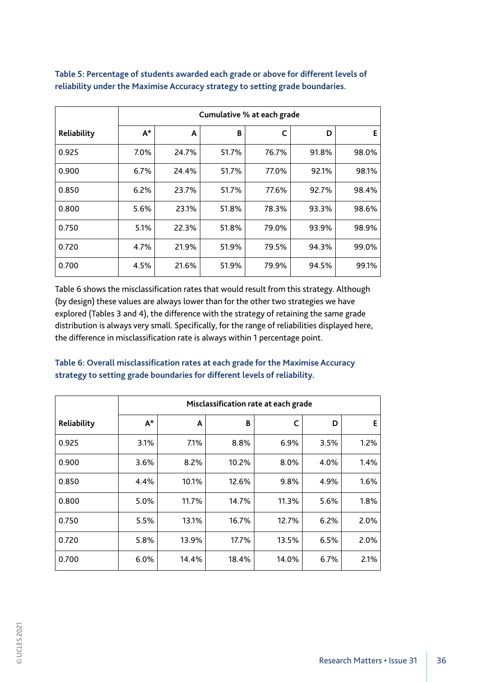|             | Cumulative % at each grade |       |       |       |       |       |
|-------------|----------------------------|-------|-------|-------|-------|-------|
| Reliability | $A^*$                      | A     | B     | C     | D     | E     |
| 0.925       | 7.0%                       | 24.7% | 51.7% | 76.7% | 91.8% | 98.0% |
| 0.900       | 6.7%                       | 24.4% | 51.7% | 77.0% | 92.1% | 98.1% |
| 0.850       | 6.2%                       | 23.7% | 51.7% | 77.6% | 92.7% | 98.4% |
| 0.800       | 5.6%                       | 23.1% | 51.8% | 78.3% | 93.3% | 98.6% |
| 0.750       | 5.1%                       | 22.3% | 51.8% | 79.0% | 93.9% | 98.9% |
| 0.720       | 4.7%                       | 21.9% | 51.9% | 79.5% | 94.3% | 99.0% |
| 0.700       | 4.5%                       | 21.6% | 51.9% | 79.9% | 94.5% | 99.1% |

**Table 5: Percentage of students awarded each grade or above for different levels of reliability under the Maximise Accuracy strategy to setting grade boundaries.**

Table 6 shows the misclassification rates that would result from this strategy. Although (by design) these values are always lower than for the other two strategies we have explored (Tables 3 and 4), the difference with the strategy of retaining the same grade distribution is always very small. Specifically, for the range of reliabilities displayed here, the difference in misclassification rate is always within 1 percentage point.

|             | Misclassification rate at each grade |       |       |       |      |      |
|-------------|--------------------------------------|-------|-------|-------|------|------|
| Reliability | $A^*$                                | A     | B     | C     | D    | E    |
| 0.925       | 3.1%                                 | 7.1%  | 8.8%  | 6.9%  | 3.5% | 1.2% |
| 0.900       | 3.6%                                 | 8.2%  | 10.2% | 8.0%  | 4.0% | 1.4% |
| 0.850       | 4.4%                                 | 10.1% | 12.6% | 9.8%  | 4.9% | 1.6% |
| 0.800       | 5.0%                                 | 11.7% | 14.7% | 11.3% | 5.6% | 1.8% |
| 0.750       | 5.5%                                 | 13.1% | 16.7% | 12.7% | 6.2% | 2.0% |
| 0.720       | 5.8%                                 | 13.9% | 17.7% | 13.5% | 6.5% | 2.0% |
| 0.700       | 6.0%                                 | 14.4% | 18.4% | 14.0% | 6.7% | 2.1% |

**Table 6: Overall misclassification rates at each grade for the Maximise Accuracy strategy to setting grade boundaries for different levels of reliability.**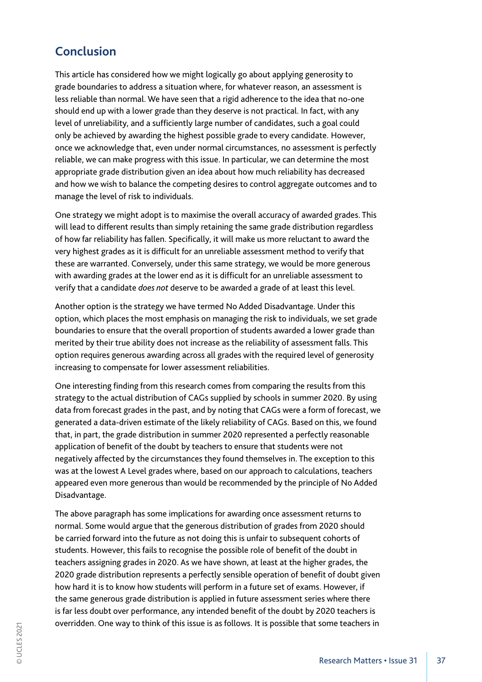# **Conclusion**

This article has considered how we might logically go about applying generosity to grade boundaries to address a situation where, for whatever reason, an assessment is less reliable than normal. We have seen that a rigid adherence to the idea that no-one should end up with a lower grade than they deserve is not practical. In fact, with any level of unreliability, and a sufficiently large number of candidates, such a goal could only be achieved by awarding the highest possible grade to every candidate. However, once we acknowledge that, even under normal circumstances, no assessment is perfectly reliable, we can make progress with this issue. In particular, we can determine the most appropriate grade distribution given an idea about how much reliability has decreased and how we wish to balance the competing desires to control aggregate outcomes and to manage the level of risk to individuals.

One strategy we might adopt is to maximise the overall accuracy of awarded grades. This will lead to different results than simply retaining the same grade distribution regardless of how far reliability has fallen. Specifically, it will make us more reluctant to award the very highest grades as it is difficult for an unreliable assessment method to verify that these are warranted. Conversely, under this same strategy, we would be more generous with awarding grades at the lower end as it is difficult for an unreliable assessment to verify that a candidate *does not* deserve to be awarded a grade of at least this level.

Another option is the strategy we have termed No Added Disadvantage. Under this option, which places the most emphasis on managing the risk to individuals, we set grade boundaries to ensure that the overall proportion of students awarded a lower grade than merited by their true ability does not increase as the reliability of assessment falls. This option requires generous awarding across all grades with the required level of generosity increasing to compensate for lower assessment reliabilities.

One interesting finding from this research comes from comparing the results from this strategy to the actual distribution of CAGs supplied by schools in summer 2020. By using data from forecast grades in the past, and by noting that CAGs were a form of forecast, we generated a data-driven estimate of the likely reliability of CAGs. Based on this, we found that, in part, the grade distribution in summer 2020 represented a perfectly reasonable application of benefit of the doubt by teachers to ensure that students were not negatively affected by the circumstances they found themselves in. The exception to this was at the lowest A Level grades where, based on our approach to calculations, teachers appeared even more generous than would be recommended by the principle of No Added Disadvantage.

The above paragraph has some implications for awarding once assessment returns to normal. Some would argue that the generous distribution of grades from 2020 should be carried forward into the future as not doing this is unfair to subsequent cohorts of students. However, this fails to recognise the possible role of benefit of the doubt in teachers assigning grades in 2020. As we have shown, at least at the higher grades, the 2020 grade distribution represents a perfectly sensible operation of benefit of doubt given how hard it is to know how students will perform in a future set of exams. However, if the same generous grade distribution is applied in future assessment series where there is far less doubt over performance, any intended benefit of the doubt by 2020 teachers is overridden. One way to think of this issue is as follows. It is possible that some teachers in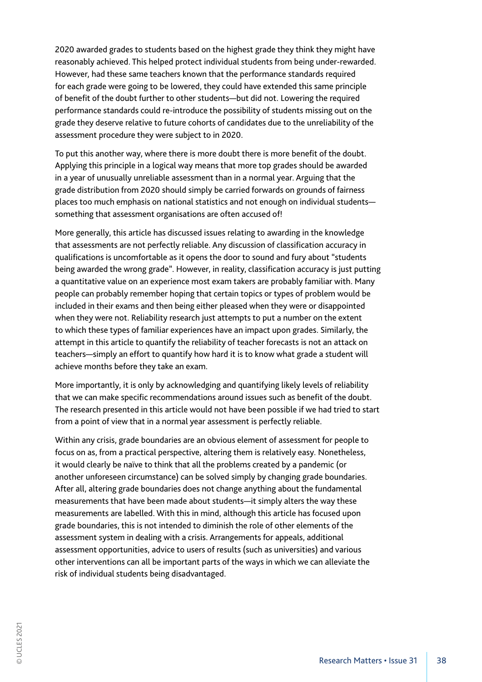2020 awarded grades to students based on the highest grade they think they might have reasonably achieved. This helped protect individual students from being under-rewarded. However, had these same teachers known that the performance standards required for each grade were going to be lowered, they could have extended this same principle of benefit of the doubt further to other students—but did not. Lowering the required performance standards could re-introduce the possibility of students missing out on the grade they deserve relative to future cohorts of candidates due to the unreliability of the assessment procedure they were subject to in 2020.

To put this another way, where there is more doubt there is more benefit of the doubt. Applying this principle in a logical way means that more top grades should be awarded in a year of unusually unreliable assessment than in a normal year. Arguing that the grade distribution from 2020 should simply be carried forwards on grounds of fairness places too much emphasis on national statistics and not enough on individual students something that assessment organisations are often accused of!

More generally, this article has discussed issues relating to awarding in the knowledge that assessments are not perfectly reliable. Any discussion of classification accuracy in qualifications is uncomfortable as it opens the door to sound and fury about "students being awarded the wrong grade". However, in reality, classification accuracy is just putting a quantitative value on an experience most exam takers are probably familiar with. Many people can probably remember hoping that certain topics or types of problem would be included in their exams and then being either pleased when they were or disappointed when they were not. Reliability research just attempts to put a number on the extent to which these types of familiar experiences have an impact upon grades. Similarly, the attempt in this article to quantify the reliability of teacher forecasts is not an attack on teachers—simply an effort to quantify how hard it is to know what grade a student will achieve months before they take an exam.

More importantly, it is only by acknowledging and quantifying likely levels of reliability that we can make specific recommendations around issues such as benefit of the doubt. The research presented in this article would not have been possible if we had tried to start from a point of view that in a normal year assessment is perfectly reliable.

Within any crisis, grade boundaries are an obvious element of assessment for people to focus on as, from a practical perspective, altering them is relatively easy. Nonetheless, it would clearly be naïve to think that all the problems created by a pandemic (or another unforeseen circumstance) can be solved simply by changing grade boundaries. After all, altering grade boundaries does not change anything about the fundamental measurements that have been made about students—it simply alters the way these measurements are labelled. With this in mind, although this article has focused upon grade boundaries, this is not intended to diminish the role of other elements of the assessment system in dealing with a crisis. Arrangements for appeals, additional assessment opportunities, advice to users of results (such as universities) and various other interventions can all be important parts of the ways in which we can alleviate the risk of individual students being disadvantaged.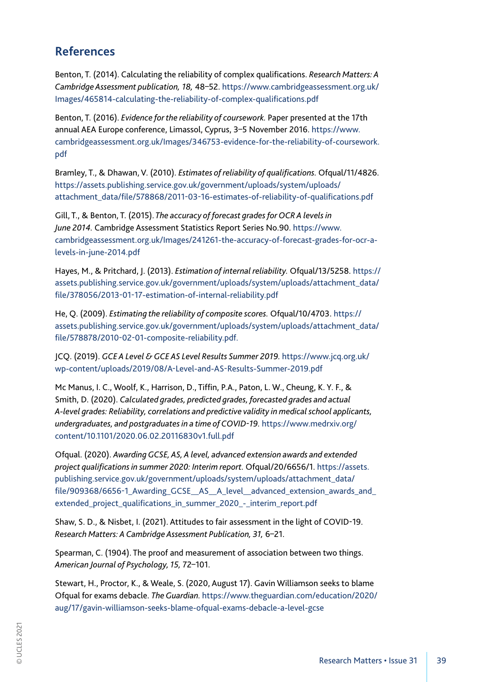# **References**

Benton, T. (2014). Calculating the reliability of complex qualifications. *Research Matters: A Cambridge Assessment publication, 18,* 48–52. https://www.cambridgeassessment.org.uk/ Images/465814-calculating-the-reliability-of-complex-qualifications.pdf

Benton, T. (2016). *Evidence for the reliability of coursework.* Paper presented at the 17th annual AEA Europe conference, Limassol, Cyprus, 3–5 November 2016. https://www. cambridgeassessment.org.uk/Images/346753-evidence-for-the-reliability-of-coursework. pdf

Bramley, T., & Dhawan, V. (2010). *Estimates of reliability of qualifications.* Ofqual/11/4826. https://assets.publishing.service.gov.uk/government/uploads/system/uploads/ attachment\_data/file/578868/2011-03-16-estimates-of-reliability-of-qualifications.pdf

Gill, T., & Benton, T. (2015). *The accuracy of forecast grades for OCR A levels in June 2014.* Cambridge Assessment Statistics Report Series No.90. https://www. cambridgeassessment.org.uk/Images/241261-the-accuracy-of-forecast-grades-for-ocr-alevels-in-june-2014.pdf

Hayes, M., & Pritchard, J. (2013). *Estimation of internal reliability.* Ofqual/13/5258. https:// assets.publishing.service.gov.uk/government/uploads/system/uploads/attachment\_data/ file/378056/2013-01-17-estimation-of-internal-reliability.pdf

He, Q. (2009). *Estimating the reliability of composite scores.* Ofqual/10/4703. https:// assets.publishing.service.gov.uk/government/uploads/system/uploads/attachment\_data/ file/578878/2010-02-01-composite-reliability.pdf.

JCQ. (2019). *GCE A Level & GCE AS Level Results Summer 2019.* https://www.jcq.org.uk/ wp-content/uploads/2019/08/A-Level-and-AS-Results-Summer-2019.pdf

Mc Manus, I. C., Woolf, K., Harrison, D., Tiffin, P.A., Paton, L. W., Cheung, K. Y. F., & Smith, D. (2020). *Calculated grades, predicted grades, forecasted grades and actual A-level grades: Reliability, correlations and predictive validity in medical school applicants, undergraduates, and postgraduates in a time of COVID-19.* https://www.medrxiv.org/ content/10.1101/2020.06.02.20116830v1.full.pdf

Ofqual. (2020). *Awarding GCSE, AS, A level, advanced extension awards and extended project qualifications in summer 2020: Interim report.* Ofqual/20/6656/1. https://assets. publishing.service.gov.uk/government/uploads/system/uploads/attachment\_data/ file/909368/6656-1\_Awarding\_GCSE\_\_AS\_\_A\_level\_\_advanced\_extension\_awards\_and\_ extended\_project\_qualifications\_in\_summer\_2020\_-\_interim\_report.pdf

Shaw, S. D., & Nisbet, I. (2021). Attitudes to fair assessment in the light of COVID-19. *Research Matters: A Cambridge Assessment Publication, 31,* 6–21.

Spearman, C. (1904). The proof and measurement of association between two things. *American Journal of Psychology, 15,* 72–101.

Stewart, H., Proctor, K., & Weale, S. (2020, August 17). Gavin Williamson seeks to blame Ofqual for exams debacle. *The Guardian.* https://www.theguardian.com/education/2020/ aug/17/gavin-williamson-seeks-blame-ofqual-exams-debacle-a-level-gcse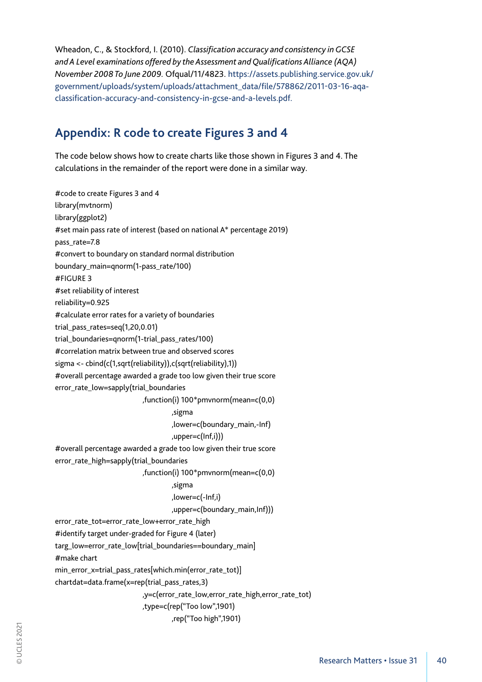Wheadon, C., & Stockford, I. (2010). *Classification accuracy and consistency in GCSE and A Level examinations offered by the Assessment and Qualifications Alliance (AQA) November 2008 To June 2009.* Ofqual/11/4823. https://assets.publishing.service.gov.uk/ government/uploads/system/uploads/attachment\_data/file/578862/2011-03-16-aqaclassification-accuracy-and-consistency-in-gcse-and-a-levels.pdf.

# **Appendix: R code to create Figures 3 and 4**

The code below shows how to create charts like those shown in Figures 3 and 4. The calculations in the remainder of the report were done in a similar way.

#code to create Figures 3 and 4 library(mvtnorm) library(ggplot2) #set main pass rate of interest (based on national A\* percentage 2019) pass\_rate=7.8 #convert to boundary on standard normal distribution boundary\_main=qnorm(1-pass\_rate/100) #FIGURE 3 #set reliability of interest reliability=0.925 #calculate error rates for a variety of boundaries trial\_pass\_rates=seq(1,20,0.01) trial\_boundaries=qnorm(1-trial\_pass\_rates/100) #correlation matrix between true and observed scores sigma <- cbind(c(1,sqrt(reliability)),c(sqrt(reliability),1)) #overall percentage awarded a grade too low given their true score error\_rate\_low=sapply(trial\_boundaries ,function(i) 100\*pmvnorm(mean=c(0,0) ,sigma ,lower=c(boundary\_main,-Inf) ,upper=c(Inf,i))) #overall percentage awarded a grade too low given their true score error\_rate\_high=sapply(trial\_boundaries ,function(i) 100\*pmvnorm(mean=c(0,0) ,sigma ,lower=c(-Inf,i) ,upper=c(boundary\_main,Inf))) error\_rate\_tot=error\_rate\_low+error\_rate\_high #identify target under-graded for Figure 4 (later) targ\_low=error\_rate\_low[trial\_boundaries==boundary\_main] #make chart min\_error\_x=trial\_pass\_rates[which.min(error\_rate\_tot)] chartdat=data.frame(x=rep(trial\_pass\_rates,3) ,y=c(error\_rate\_low,error\_rate\_high,error\_rate\_tot) ,type=c(rep("Too low",1901) ,rep("Too high",1901)